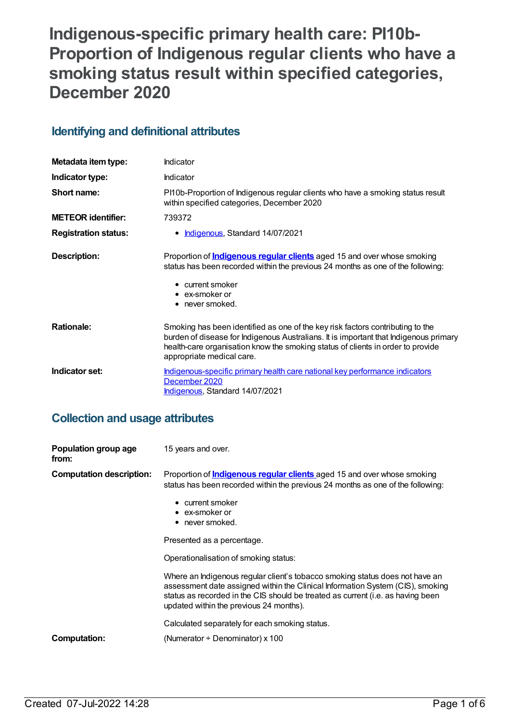# **Indigenous-specific primary health care: PI10b-Proportion of Indigenous regular clients who have a smoking status result within specified categories, December 2020**

### **Identifying and definitional attributes**

| Metadata item type:         | Indicator                                                                                                                                                                                                                                                                               |
|-----------------------------|-----------------------------------------------------------------------------------------------------------------------------------------------------------------------------------------------------------------------------------------------------------------------------------------|
| Indicator type:             | Indicator                                                                                                                                                                                                                                                                               |
| Short name:                 | PI10b-Proportion of Indigenous regular clients who have a smoking status result<br>within specified categories, December 2020                                                                                                                                                           |
| <b>METEOR identifier:</b>   | 739372                                                                                                                                                                                                                                                                                  |
| <b>Registration status:</b> | • Indigenous, Standard 14/07/2021                                                                                                                                                                                                                                                       |
| Description:                | Proportion of <b>Indigenous regular clients</b> aged 15 and over whose smoking<br>status has been recorded within the previous 24 months as one of the following:<br>$\bullet$ current smoker<br>$\bullet$ ex-smoker or<br>$\bullet$ never smoked.                                      |
| <b>Rationale:</b>           | Smoking has been identified as one of the key risk factors contributing to the<br>burden of disease for Indigenous Australians. It is important that Indigenous primary<br>health-care organisation know the smoking status of clients in order to provide<br>appropriate medical care. |
| Indicator set:              | Indigenous-specific primary health care national key performance indicators<br>December 2020<br>Indigenous, Standard 14/07/2021                                                                                                                                                         |

### **Collection and usage attributes**

| Population group age<br>from:   | 15 years and over.                                                                                                                                                                                                                                                                                                                                                                                                    |
|---------------------------------|-----------------------------------------------------------------------------------------------------------------------------------------------------------------------------------------------------------------------------------------------------------------------------------------------------------------------------------------------------------------------------------------------------------------------|
| <b>Computation description:</b> | Proportion of <b>Indigenous regular clients</b> aged 15 and over whose smoking<br>status has been recorded within the previous 24 months as one of the following:<br>• current smoker<br>• ex-smoker or<br>• never smoked.                                                                                                                                                                                            |
|                                 | Presented as a percentage.<br>Operationalisation of smoking status:<br>Where an Indigenous regular client's tobacco smoking status does not have an<br>assessment date assigned within the Clinical Information System (CIS), smoking<br>status as recorded in the CIS should be treated as current (i.e. as having been<br>updated within the previous 24 months).<br>Calculated separately for each smoking status. |
| Computation:                    | (Numerator $\div$ Denominator) x 100                                                                                                                                                                                                                                                                                                                                                                                  |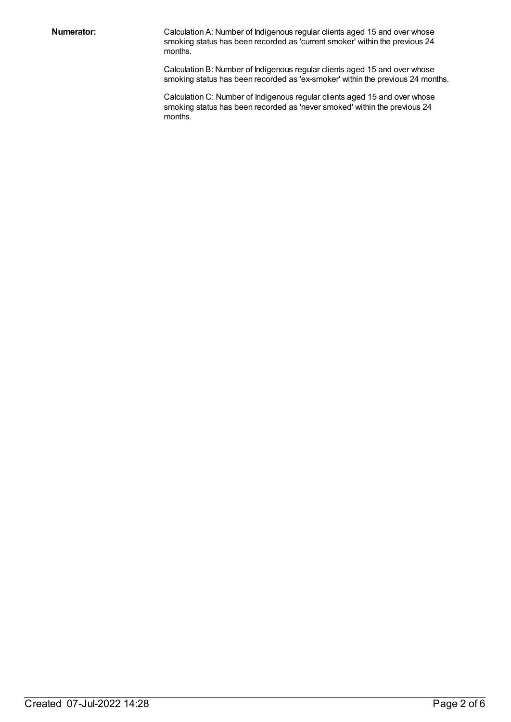**Numerator:** Calculation A: Number of Indigenous regular clients aged 15 and over whose smoking status has been recorded as 'current smoker' within the previous 24 months.

> Calculation B: Number of Indigenous regular clients aged 15 and over whose smoking status has been recorded as 'ex-smoker' within the previous 24 months.

Calculation C: Number of Indigenous regular clients aged 15 and over whose smoking status has been recorded as 'never smoked' within the previous 24 months.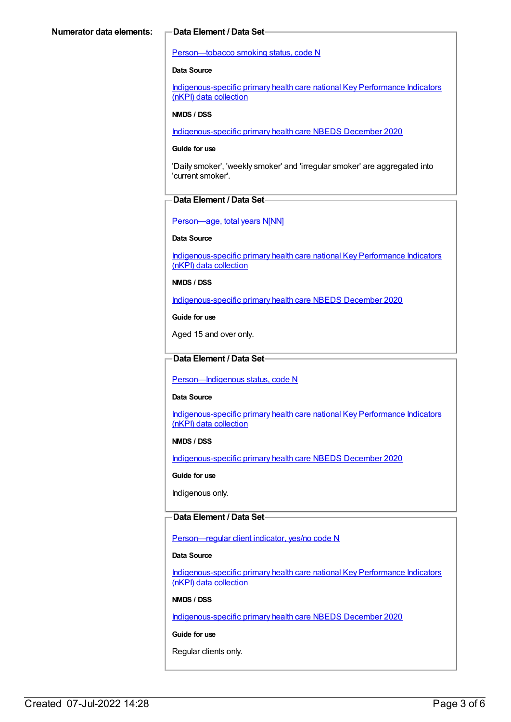#### [Person—tobacco](https://meteor.aihw.gov.au/content/270311) smoking status, code N

#### **Data Source**

[Indigenous-specific](https://meteor.aihw.gov.au/content/737914) primary health care national Key Performance Indicators (nKPI) data collection

#### **NMDS / DSS**

[Indigenous-specific](https://meteor.aihw.gov.au/content/738532) primary health care NBEDS December 2020

#### **Guide for use**

'Daily smoker', 'weekly smoker' and 'irregular smoker' are aggregated into 'current smoker'.

#### **Data Element / Data Set**

Person-age, total years N[NN]

**Data Source**

[Indigenous-specific](https://meteor.aihw.gov.au/content/737914) primary health care national Key Performance Indicators (nKPI) data collection

#### **NMDS / DSS**

[Indigenous-specific](https://meteor.aihw.gov.au/content/738532) primary health care NBEDS December 2020

**Guide for use**

Aged 15 and over only.

### **Data Element / Data Set**

Person-Indigenous status, code N

#### **Data Source**

[Indigenous-specific](https://meteor.aihw.gov.au/content/737914) primary health care national Key Performance Indicators (nKPI) data collection

#### **NMDS / DSS**

[Indigenous-specific](https://meteor.aihw.gov.au/content/738532) primary health care NBEDS December 2020

#### **Guide for use**

Indigenous only.

### **Data Element / Data Set**

[Person—regular](https://meteor.aihw.gov.au/content/686291) client indicator, yes/no code N

#### **Data Source**

[Indigenous-specific](https://meteor.aihw.gov.au/content/737914) primary health care national Key Performance Indicators (nKPI) data collection

#### **NMDS / DSS**

[Indigenous-specific](https://meteor.aihw.gov.au/content/738532) primary health care NBEDS December 2020

#### **Guide for use**

Regular clients only.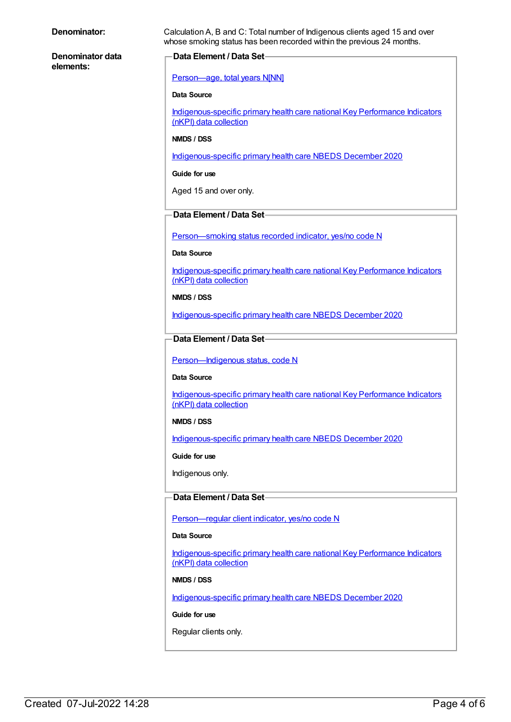| Denominator:                  | Calculation A, B and C: Total number of Indigenous clients aged 15 and over<br>whose smoking status has been recorded within the previous 24 months. |
|-------------------------------|------------------------------------------------------------------------------------------------------------------------------------------------------|
| Denominator data<br>elements: | <b>Data Element / Data Set-</b>                                                                                                                      |
|                               | Person-age, total years N[NN]                                                                                                                        |
|                               | <b>Data Source</b>                                                                                                                                   |
|                               | Indigenous-specific primary health care national Key Performance Indicators<br>(nKPI) data collection                                                |
|                               | NMDS / DSS                                                                                                                                           |
|                               | Indigenous-specific primary health care NBEDS December 2020                                                                                          |
|                               | Guide for use                                                                                                                                        |
|                               | Aged 15 and over only.                                                                                                                               |
|                               | Data Element / Data Set-                                                                                                                             |
|                               | Person-smoking status recorded indicator, yes/no code N                                                                                              |
|                               | Data Source                                                                                                                                          |
|                               | Indigenous-specific primary health care national Key Performance Indicators<br>(nKPI) data collection                                                |
|                               | NMDS / DSS                                                                                                                                           |
|                               | Indigenous-specific primary health care NBEDS December 2020                                                                                          |
|                               | Data Element / Data Set-                                                                                                                             |
|                               | Person-Indigenous status, code N                                                                                                                     |
|                               | <b>Data Source</b>                                                                                                                                   |
|                               | Indigenous-specific primary health care national Key Performance Indicators<br>(nKPI) data collection                                                |
|                               | NMDS / DSS                                                                                                                                           |
|                               | Indigenous-specific primary health care NBEDS December 2020                                                                                          |
|                               | Guide for use                                                                                                                                        |
|                               | Indigenous only.                                                                                                                                     |
|                               | <b>Data Element / Data Set-</b>                                                                                                                      |
|                               | Person-regular client indicator, yes/no code N                                                                                                       |
|                               | Data Source                                                                                                                                          |
|                               | Indigenous-specific primary health care national Key Performance Indicators<br>(nKPI) data collection                                                |
|                               | NMDS / DSS                                                                                                                                           |
|                               | Indigenous-specific primary health care NBEDS December 2020                                                                                          |
|                               | Guide for use                                                                                                                                        |
|                               | Regular clients only.                                                                                                                                |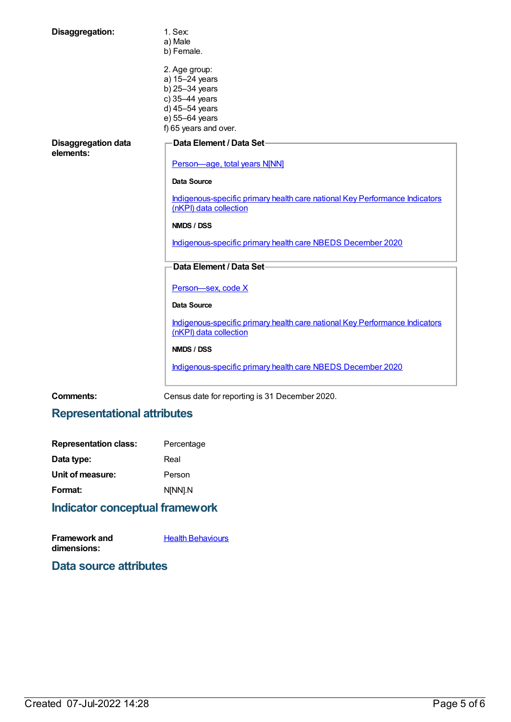| Disaggregation:                         | 1. Sex:<br>a) Male<br>b) Female.                                                                                                 |
|-----------------------------------------|----------------------------------------------------------------------------------------------------------------------------------|
|                                         | 2. Age group:<br>a) 15-24 years<br>b) 25-34 years<br>c) 35-44 years<br>d) 45-54 years<br>e) 55-64 years<br>f) 65 years and over. |
| <b>Disaggregation data</b><br>elements: | Data Element / Data Set-<br>Person-age, total years N[NN]                                                                        |
|                                         | <b>Data Source</b>                                                                                                               |
|                                         | Indigenous-specific primary health care national Key Performance Indicators<br>(nKPI) data collection                            |
|                                         | NMDS / DSS                                                                                                                       |
|                                         | Indigenous-specific primary health care NBEDS December 2020                                                                      |
|                                         | Data Element / Data Set-                                                                                                         |
|                                         | Person-sex, code X                                                                                                               |
|                                         | Data Source                                                                                                                      |
|                                         | Indigenous-specific primary health care national Key Performance Indicators<br>(nKPI) data collection                            |
|                                         | NMDS / DSS                                                                                                                       |
|                                         | Indigenous-specific primary health care NBEDS December 2020                                                                      |

**Comments:** Census date for reporting is 31 December 2020.

## **Representational attributes**

| <b>Representation class:</b> | Percentage |
|------------------------------|------------|
| Data type:                   | Real       |
| Unit of measure:             | Person     |
| Format:                      | N[NN].N    |
|                              |            |

## **Indicator conceptual framework**

| <b>Framework and</b> | <b>Health Behaviours</b> |
|----------------------|--------------------------|
| dimensions:          |                          |

### **Data source attributes**